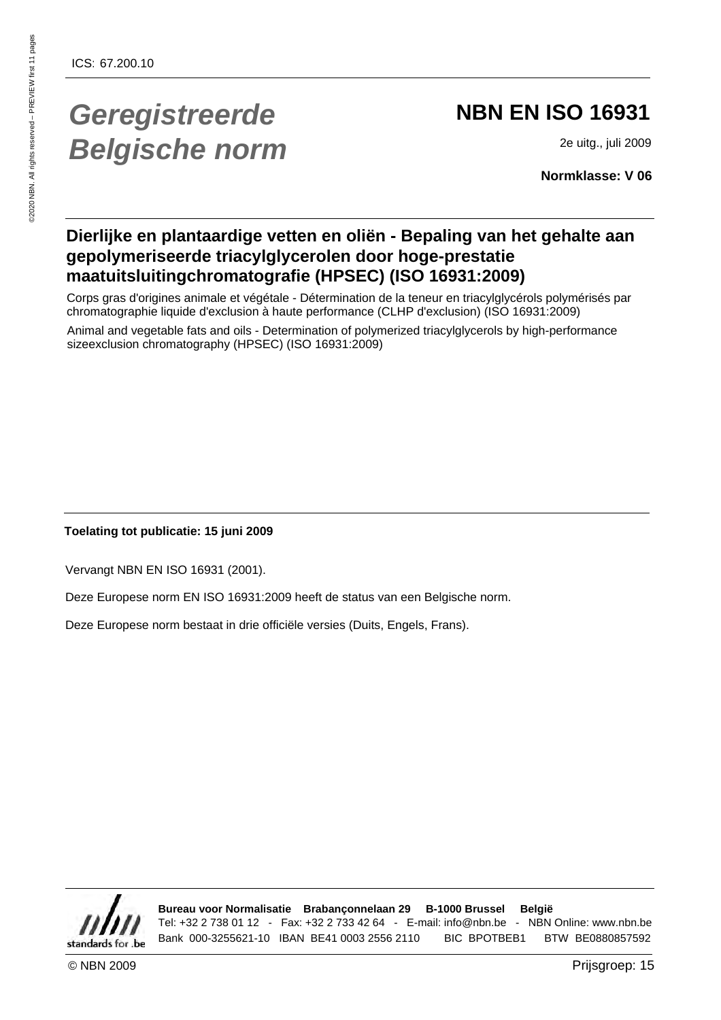## **Geregistreerde Belgische norm**

## **NBN EN ISO 16931**

2e uitg., juli 2009

**Normklasse: V 06**

### **Dierlijke en plantaardige vetten en oliën - Bepaling van het gehalte aan gepolymeriseerde triacylglycerolen door hoge-prestatie maatuitsluitingchromatografie (HPSEC) (ISO 16931:2009)**

Corps gras d'origines animale et végétale - Détermination de la teneur en triacylglycérols polymérisés par chromatographie liquide d'exclusion à haute performance (CLHP d'exclusion) (ISO 16931:2009)

Animal and vegetable fats and oils - Determination of polymerized triacylglycerols by high-performance sizeexclusion chromatography (HPSEC) (ISO 16931:2009)

### **Toelating tot publicatie: 15 juni 2009**

Vervangt NBN EN ISO 16931 (2001).

Deze Europese norm EN ISO 16931:2009 heeft de status van een Belgische norm.

Deze Europese norm bestaat in drie officiële versies (Duits, Engels, Frans).



**Bureau voor Normalisatie Brabançonnelaan 29 B-1000 Brussel België** Tel: +32 2 738 01 12 - Fax: +32 2 733 42 64 - E-mail: info@nbn.be - NBN Online: www.nbn.be Bank 000-3255621-10 IBAN BE41 0003 2556 2110 BIC BPOTBEB1 BTW BE0880857592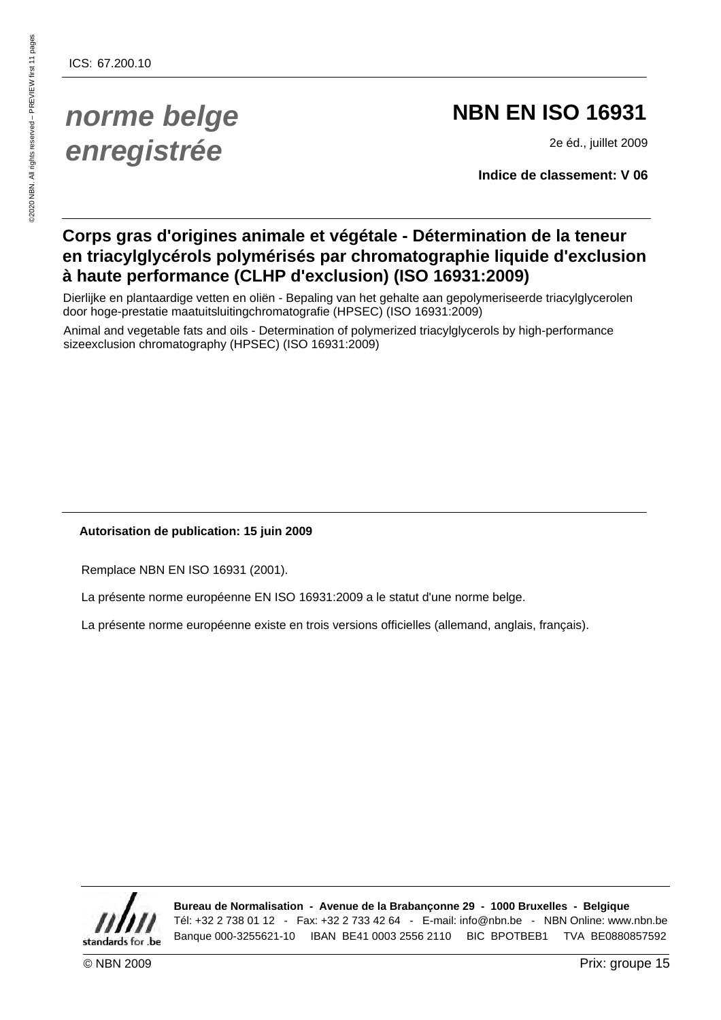## **norme belge enregistrée**

## **NBN EN ISO 16931**

2e éd., juillet 2009

**Indice de classement: V 06**

### **Corps gras d'origines animale et végétale - Détermination de la teneur en triacylglycérols polymérisés par chromatographie liquide d'exclusion à haute performance (CLHP d'exclusion) (ISO 16931:2009)**

Dierlijke en plantaardige vetten en oliën - Bepaling van het gehalte aan gepolymeriseerde triacylglycerolen door hoge-prestatie maatuitsluitingchromatografie (HPSEC) (ISO 16931:2009)

Animal and vegetable fats and oils - Determination of polymerized triacylglycerols by high-performance sizeexclusion chromatography (HPSEC) (ISO 16931:2009)

### **Autorisation de publication: 15 juin 2009**

Remplace NBN EN ISO 16931 (2001).

La présente norme européenne EN ISO 16931:2009 a le statut d'une norme belge.

La présente norme européenne existe en trois versions officielles (allemand, anglais, français).



**Bureau de Normalisation - Avenue de la Brabançonne 29 - 1000 Bruxelles - Belgique** Tél: +32 2 738 01 12 - Fax: +32 2 733 42 64 - E-mail: info@nbn.be - NBN Online: www.nbn.be Banque 000-3255621-10 IBAN BE41 0003 2556 2110 BIC BPOTBEB1 TVA BE0880857592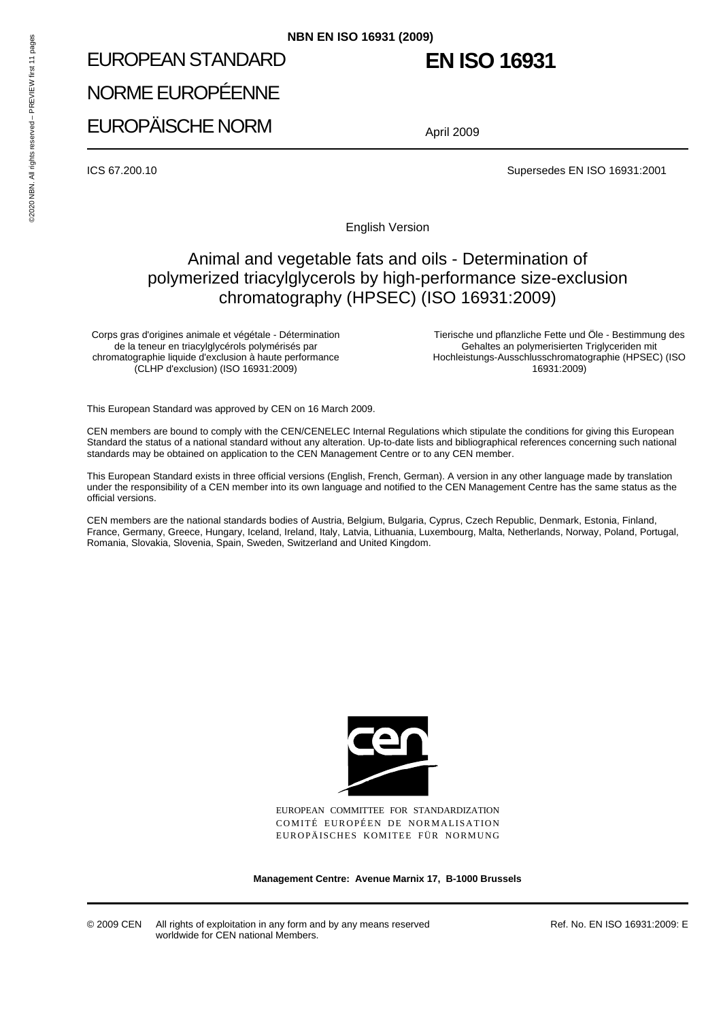# EUROPEAN STANDARD NORME EUROPÉENNE EUROPÄISCHE NORM **NBN EN ISO 16931 (2009)**<br>
EUROPEAN STANDARD<br>
NORME EUROPÉENNE<br>
EUROPÄISCHE NORM<br>
ICS 67.200.10<br>
PREVIEW FIRST 11 PAGES<br>
CORTE NORM<br>
ALL ROPAISCHE NORM<br>
A

## **EN ISO 16931**

April 2009

ICS 67.200.10 Supersedes EN ISO 16931:2001

English Version

### Animal and vegetable fats and oils - Determination of polymerized triacylglycerols by high-performance size-exclusion chromatography (HPSEC) (ISO 16931:2009)

Corps gras d'origines animale et végétale - Détermination de la teneur en triacylglycérols polymérisés par chromatographie liquide d'exclusion à haute performance (CLHP d'exclusion) (ISO 16931:2009)

Tierische und pflanzliche Fette und Öle - Bestimmung des Gehaltes an polymerisierten Triglyceriden mit Hochleistungs-Ausschlusschromatographie (HPSEC) (ISO 16931:2009)

This European Standard was approved by CEN on 16 March 2009.

CEN members are bound to comply with the CEN/CENELEC Internal Regulations which stipulate the conditions for giving this European Standard the status of a national standard without any alteration. Up-to-date lists and bibliographical references concerning such national standards may be obtained on application to the CEN Management Centre or to any CEN member.

This European Standard exists in three official versions (English, French, German). A version in any other language made by translation under the responsibility of a CEN member into its own language and notified to the CEN Management Centre has the same status as the official versions.

CEN members are the national standards bodies of Austria, Belgium, Bulgaria, Cyprus, Czech Republic, Denmark, Estonia, Finland, France, Germany, Greece, Hungary, Iceland, Ireland, Italy, Latvia, Lithuania, Luxembourg, Malta, Netherlands, Norway, Poland, Portugal, Romania, Slovakia, Slovenia, Spain, Sweden, Switzerland and United Kingdom.



EUROPEAN COMMITTEE FOR STANDARDIZATION COMITÉ EUROPÉEN DE NORMALISATION EUROPÄISCHES KOMITEE FÜR NORMUNG

**Management Centre: Avenue Marnix 17, B-1000 Brussels**

© 2009 CEN All rights of exploitation in any form and by any means reserved worldwide for CEN national Members.

Ref. No. EN ISO 16931:2009: E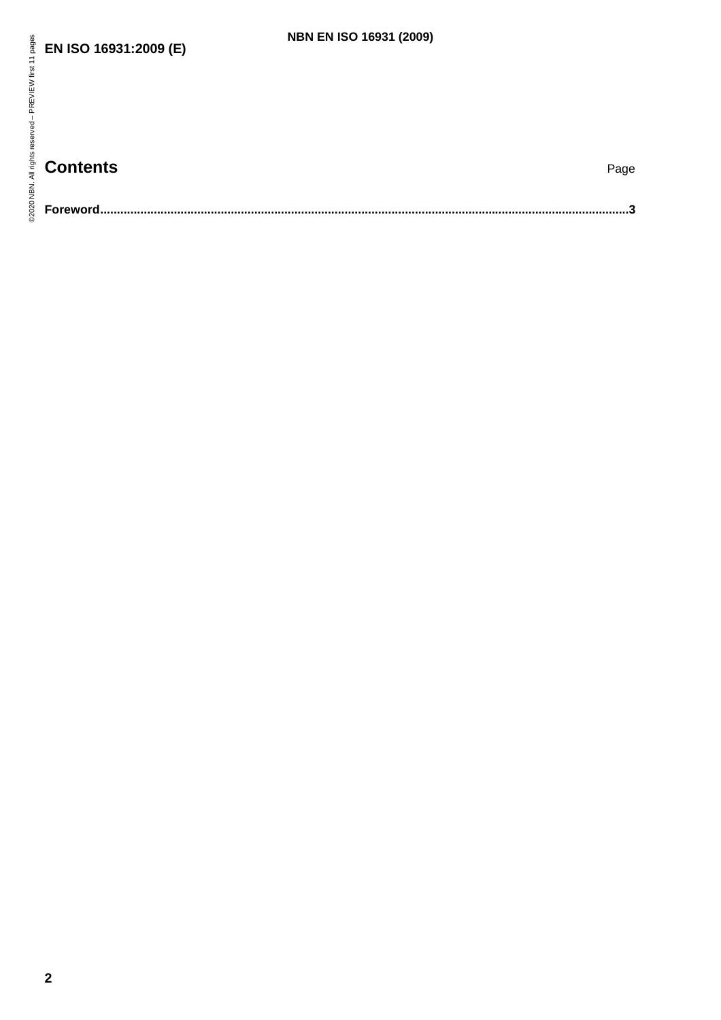### **EN ISO 16931:2009 (E)**

## **Contents** Page

| s。<br>☆ EN ISO 16931:2009 (E)<br>PREVIEW first | <b>NBN EN ISO 16931 (2009)</b> |
|------------------------------------------------|--------------------------------|
| All rights reserved -<br><b>Contents</b><br>蚤  | Page                           |
| 02020<br>Foreword                              |                                |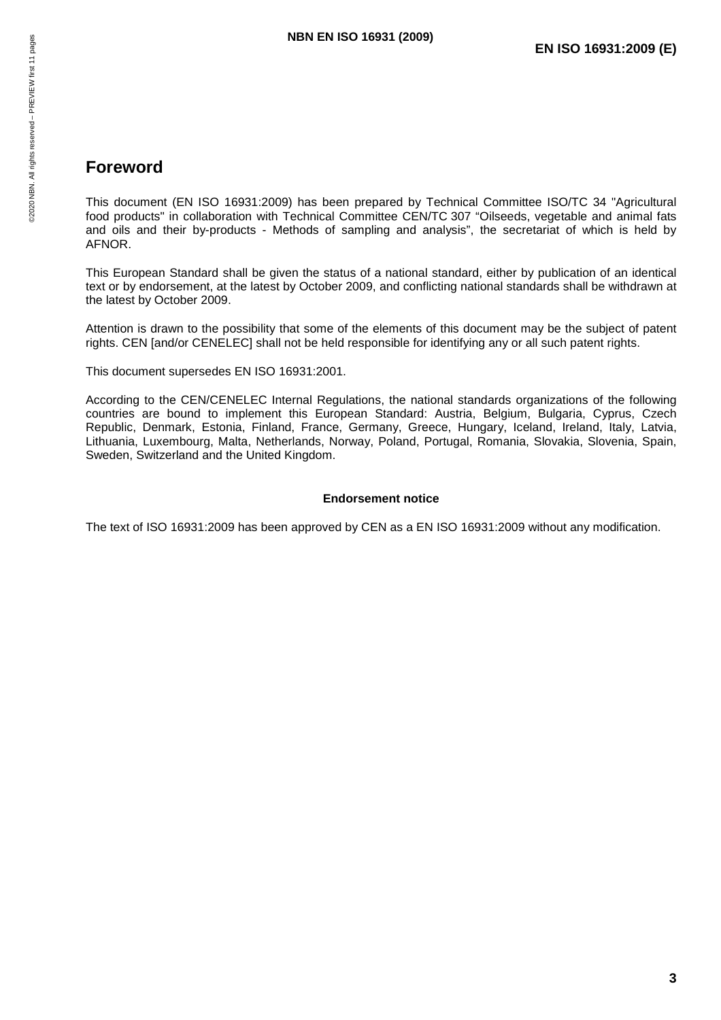### **Foreword**

This document (EN ISO 16931:2009) has been prepared by Technical Committee ISO/TC 34 "Agricultural food products" in collaboration with Technical Committee CEN/TC 307 "Oilseeds, vegetable and animal fats and oils and their by-products - Methods of sampling and analysis", the secretariat of which is held by AFNOR. **NBN EN ISO 16931 (2009)**<br>
France – All rights reserved – PREVIEW or Manages<br>
Process – PREVIEW First document (EN ISO 16931:2009) has been prepared by T<br>
France – PREVIEW food products" in collaboration with Technical Com

This European Standard shall be given the status of a national standard, either by publication of an identical text or by endorsement, at the latest by October 2009, and conflicting national standards shall be withdrawn at the latest by October 2009.

Attention is drawn to the possibility that some of the elements of this document may be the subject of patent rights. CEN [and/or CENELEC] shall not be held responsible for identifying any or all such patent rights.

This document supersedes EN ISO 16931:2001.

According to the CEN/CENELEC Internal Regulations, the national standards organizations of the following countries are bound to implement this European Standard: Austria, Belgium, Bulgaria, Cyprus, Czech Republic, Denmark, Estonia, Finland, France, Germany, Greece, Hungary, Iceland, Ireland, Italy, Latvia, Lithuania, Luxembourg, Malta, Netherlands, Norway, Poland, Portugal, Romania, Slovakia, Slovenia, Spain, Sweden, Switzerland and the United Kingdom.

### **Endorsement notice**

The text of ISO 16931:2009 has been approved by CEN as a EN ISO 16931:2009 without any modification.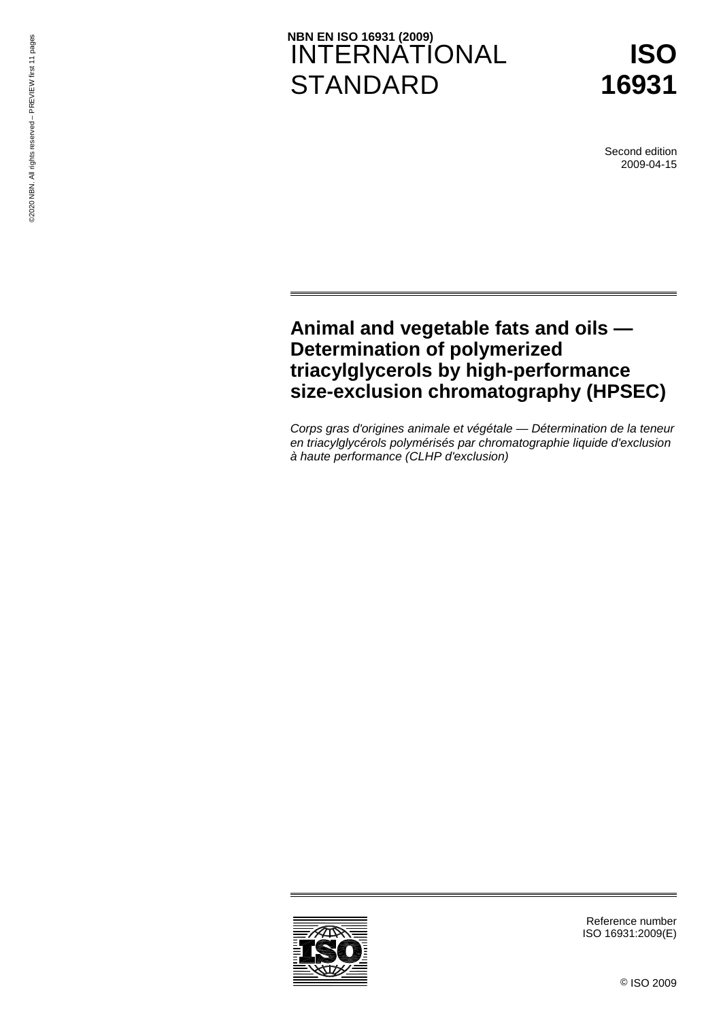# NBN EN ISO 16931 (2009)<br>INTERNATIONAL **STANDARD NBN EN ISO 16931 (2009)<br>
INTERNATI<br>
EN EN ATI<br>
EN ATI<br>
STANDARE**



Second edition 2009-04-15

### **Animal and vegetable fats and oils — Determination of polymerized triacylglycerols by high-performance size-exclusion chromatography (HPSEC)**

*Corps gras d'origines animale et végétale — Détermination de la teneur en triacylglycérols polymérisés par chromatographie liquide d'exclusion à haute performance (CLHP d'exclusion)* 



Reference number ISO 16931:2009(E)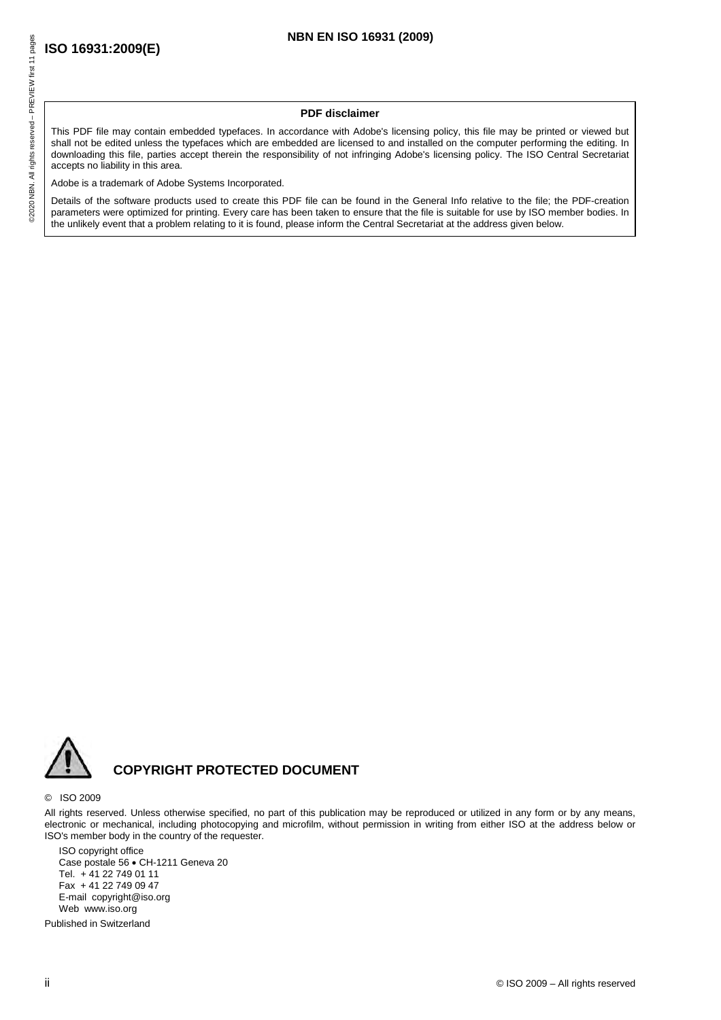### **PDF disclaimer**

This PDF file may contain embedded typefaces. In accordance with Adobe's licensing policy, this file may be printed or viewed but shall not be edited unless the typefaces which are embedded are licensed to and installed on the computer performing the editing. In downloading this file, parties accept therein the responsibility of not infringing Adobe's licensing policy. The ISO Central Secretariat accepts no liability in this area. **NBN EN ISO 16931 (2009)**<br> **NBN EN ISO 16931 (2009)**<br> **PDF disclaimer**<br> **PDF disclaimer**<br> **PDF disclaimer**<br> **PDF disclaimer**<br> **PDF disclaimer**<br> **PDF disclaimer**<br> **PDF disclaimer**<br> **PDF disclaimer**<br> **PDF disclaimer**<br> **PDF d** 

Adobe is a trademark of Adobe Systems Incorporated.

Details of the software products used to create this PDF file can be found in the General Info relative to the file; the PDF-creation parameters were optimized for printing. Every care has been taken to ensure that the file is suitable for use by ISO member bodies. In the unlikely event that a problem relating to it is found, please inform the Central Secretariat at the address given below.



### **COPYRIGHT PROTECTED DOCUMENT**

### © ISO 2009

All rights reserved. Unless otherwise specified, no part of this publication may be reproduced or utilized in any form or by any means, electronic or mechanical, including photocopying and microfilm, without permission in writing from either ISO at the address below or ISO's member body in the country of the requester.

ISO copyright office Case postale 56 • CH-1211 Geneva 20 Tel. + 41 22 749 01 11 Fax + 41 22 749 09 47 E-mail copyright@iso.org Web www.iso.org

Published in Switzerland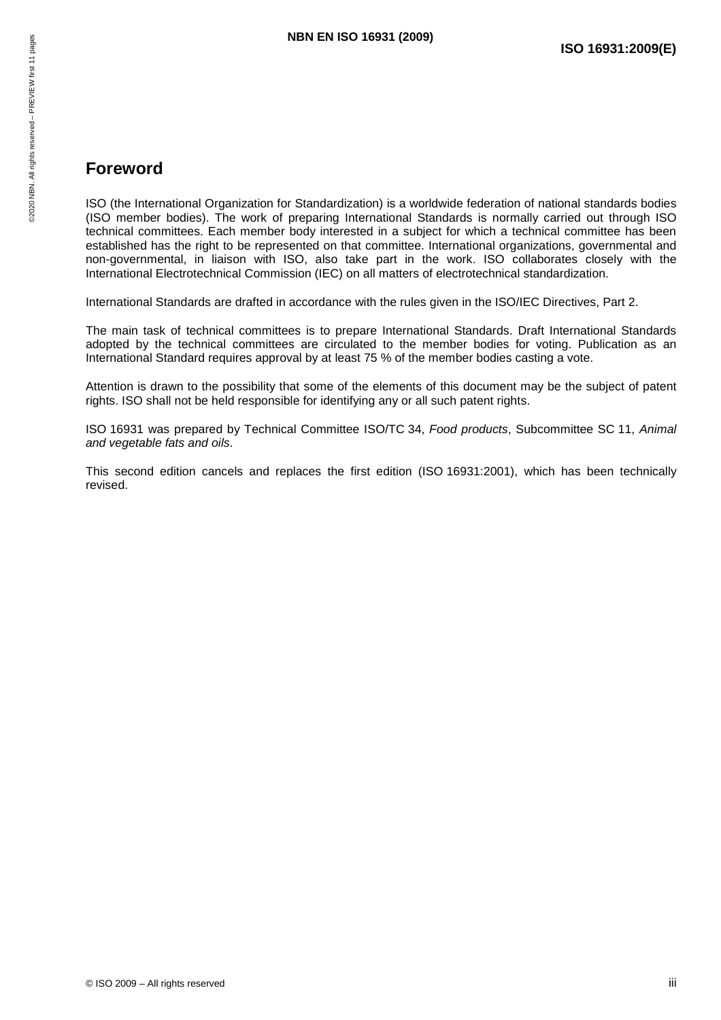### **Foreword**

ISO (the International Organization for Standardization) is a worldwide federation of national standards bodies (ISO member bodies). The work of preparing International Standards is normally carried out through ISO technical committees. Each member body interested in a subject for which a technical committee has been established has the right to be represented on that committee. International organizations, governmental and non-governmental, in liaison with ISO, also take part in the work. ISO collaborates closely with the International Electrotechnical Commission (IEC) on all matters of electrotechnical standardization. **NBN EN ISO 16931 (2009)**<br>
Friend Condensity<br>
Friend Condensity<br>
Served Sales<br>
Served Sales<br>
ISO (the International Organization for Standardization) is a work<br>
(ISO member bodies). The work of preparing International Sta

International Standards are drafted in accordance with the rules given in the ISO/IEC Directives, Part 2.

The main task of technical committees is to prepare International Standards. Draft International Standards adopted by the technical committees are circulated to the member bodies for voting. Publication as an International Standard requires approval by at least 75 % of the member bodies casting a vote.

Attention is drawn to the possibility that some of the elements of this document may be the subject of patent rights. ISO shall not be held responsible for identifying any or all such patent rights.

ISO 16931 was prepared by Technical Committee ISO/TC 34, *Food products*, Subcommittee SC 11, *Animal and vegetable fats and oils*.

This second edition cancels and replaces the first edition (ISO 16931:2001), which has been technically revised.